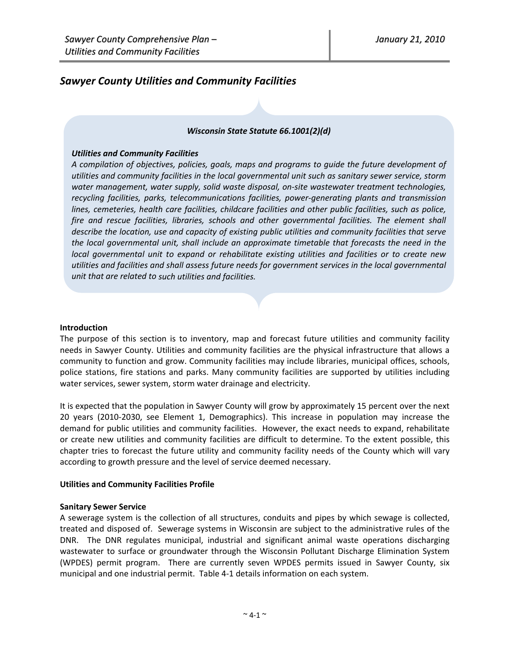# *Sawyer County Utilities and Community Facilities*

### *Wisconsin State Statute 66.1001(2)(d)*

### *Utilities and Community Facilities*

*A compilation of objectives, policies, goals, maps and programs to guide the future development of utilities and community facilities in the local governmental unit such as sanitary sewer service, storm water management, water supply, solid waste disposal, on‐site wastewater treatment technologies, recycling facilities, parks, telecommunications facilities, power‐generating plants and transmission lines, cemeteries, health care facilities, childcare facilities and other public facilities, such as police, fire and rescue facilities, libraries, schools and other governmental facilities. The element shall describe the location, use and capacity of existing public utilities and community facilities that serve the local governmental unit, shall include an approximate timetable that forecasts the need in the local governmental unit to expand or rehabilitate existing utilities and facilities or to create new utilities and facilities and shall assess future needs for government services in the local governmental unit that are related to such utilities and facilities.*

### **Introduction**

The purpose of this section is to inventory, map and forecast future utilities and community facility needs in Sawyer County. Utilities and community facilities are the physical infrastructure that allows a community to function and grow. Community facilities may include libraries, municipal offices, schools, police stations, fire stations and parks. Many community facilities are supported by utilities including water services, sewer system, storm water drainage and electricity.

It is expected that the population in Sawyer County will grow by approximately 15 percent over the next 20 years (2010‐2030, see Element 1, Demographics). This increase in population may increase the demand for public utilities and community facilities. However, the exact needs to expand, rehabilitate or create new utilities and community facilities are difficult to determine. To the extent possible, this chapter tries to forecast the future utility and community facility needs of the County which will vary according to growth pressure and the level of service deemed necessary.

### **Utilities and Community Facilities Profile**

### **Sanitary Sewer Service**

A sewerage system is the collection of all structures, conduits and pipes by which sewage is collected, treated and disposed of. Sewerage systems in Wisconsin are subject to the administrative rules of the DNR. The DNR regulates municipal, industrial and significant animal waste operations discharging wastewater to surface or groundwater through the Wisconsin Pollutant Discharge Elimination System (WPDES) permit program. There are currently seven WPDES permits issued in Sawyer County, six municipal and one industrial permit. Table 4‐1 details information on each system.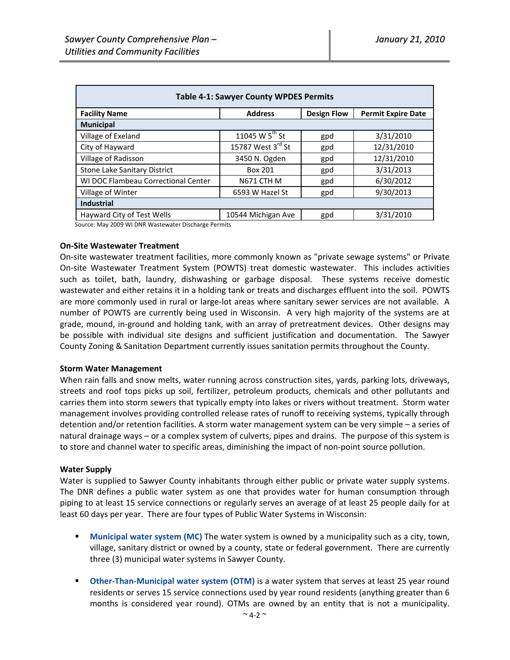| <b>Table 4-1: Sawyer County WPDES Permits</b> |                     |                    |                           |  |  |  |
|-----------------------------------------------|---------------------|--------------------|---------------------------|--|--|--|
| <b>Facility Name</b>                          | <b>Address</b>      | <b>Design Flow</b> | <b>Permit Expire Date</b> |  |  |  |
| <b>Municipal</b>                              |                     |                    |                           |  |  |  |
| Village of Exeland                            | 11045 W $5^{th}$ St | gpd                | 3/31/2010                 |  |  |  |
| City of Hayward                               | 15787 West 3rd St   | gpd                | 12/31/2010                |  |  |  |
| Village of Radisson                           | 3450 N. Ogden       | gpd                | 12/31/2010                |  |  |  |
| <b>Stone Lake Sanitary District</b>           | Box 201             | gpd                | 3/31/2013                 |  |  |  |
| WI DOC Flambeau Correctional Center           | N671 CTH M          | gpd                | 6/30/2012                 |  |  |  |
| Village of Winter                             | 6593 W Hazel St     | gpd                | 9/30/2013                 |  |  |  |
| <b>Industrial</b>                             |                     |                    |                           |  |  |  |
| Hayward City of Test Wells                    | 10544 Michigan Ave  | gpd                | 3/31/2010                 |  |  |  |

Source: May 2009 WI DNR Wastewater Discharge Permits

#### **On‐Site Wastewater Treatment**

On‐site wastewater treatment facilities, more commonly known as "private sewage systems" or Private On-site Wastewater Treatment System (POWTS) treat domestic wastewater. This includes activities such as toilet, bath, laundry, dishwashing or garbage disposal. These systems receive domestic wastewater and either retains it in a holding tank or treats and discharges effluent into the soil. POWTS are more commonly used in rural or large-lot areas where sanitary sewer services are not available. A number of POWTS are currently being used in Wisconsin. A very high majority of the systems are at grade, mound, in‐ground and holding tank, with an array of pretreatment devices. Other designs may be possible with individual site designs and sufficient justification and documentation. The Sawyer County Zoning & Sanitation Department currently issues sanitation permits throughout the County.

#### **Storm Water Management**

When rain falls and snow melts, water running across construction sites, yards, parking lots, driveways, streets and roof tops picks up soil, fertilizer, petroleum products, chemicals and other pollutants and carries them into storm sewers that typically empty into lakes or rivers without treatment. Storm water management involves providing controlled release rates of runoff to receiving systems, typically through detention and/or retention facilities. A storm water management system can be very simple – a series of natural drainage ways – or a complex system of culverts, pipes and drains. The purpose of this system is to store and channel water to specific areas, diminishing the impact of non‐point source pollution.

### **Water Supply**

Water is supplied to Sawyer County inhabitants through either public or private water supply systems. The DNR defines a public water system as one that provides water for human consumption through piping to at least 15 service connections or regularly serves an average of at least 25 people daily for at least 60 days per year. There are four types of Public Water Systems in Wisconsin:

- **Municipal water system (MC)** The water system is owned by a municipality such as a city, town, village, sanitary district or owned by a county, state or federal government. There are currently three (3) municipal water systems in Sawyer County.
- **Other‐Than‐Municipal water system (OTM)** is a water system that serves at least 25 year round residents or serves 15 service connections used by year round residents (anything greater than 6 months is considered year round). OTMs are owned by an entity that is not a municipality.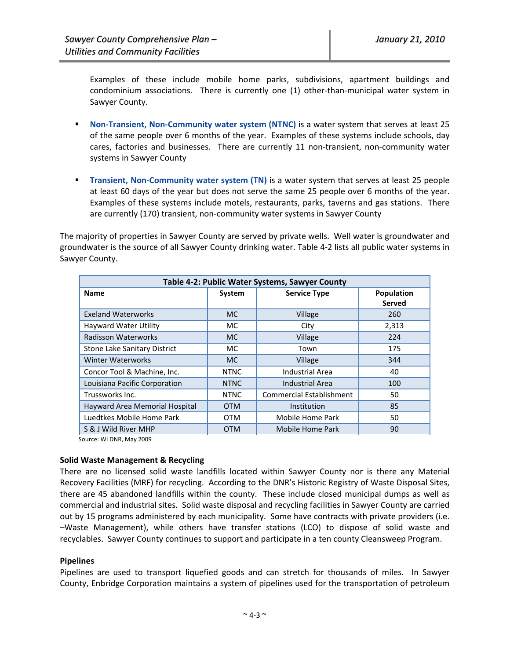Examples of these include mobile home parks, subdivisions, apartment buildings and condominium associations. There is currently one (1) other-than-municipal water system in Sawyer County.

- **Non‐Transient, Non‐Community water system (NTNC)** is a water system that serves at least 25 of the same people over 6 months of the year. Examples of these systems include schools, day cares, factories and businesses. There are currently 11 non-transient, non-community water systems in Sawyer County
- **Transient, Non-Community water system (TN)** is a water system that serves at least 25 people at least 60 days of the year but does not serve the same 25 people over 6 months of the year. Examples of these systems include motels, restaurants, parks, taverns and gas stations. There are currently (170) transient, non‐community water systems in Sawyer County

The majority of properties in Sawyer County are served by private wells. Well water is groundwater and groundwater is the source of all Sawyer County drinking water. Table 4‐2 lists all public water systems in Sawyer County.

| Table 4-2: Public Water Systems, Sawyer County |             |                                 |                             |  |  |  |
|------------------------------------------------|-------------|---------------------------------|-----------------------------|--|--|--|
| <b>Name</b>                                    | System      | <b>Service Type</b>             | <b>Population</b><br>Served |  |  |  |
| <b>Exeland Waterworks</b>                      | <b>MC</b>   | Village                         | 260                         |  |  |  |
| <b>Hayward Water Utility</b>                   | MC.         | City                            | 2,313                       |  |  |  |
| <b>Radisson Waterworks</b>                     | MC.         | Village                         | 224                         |  |  |  |
| Stone Lake Sanitary District                   | MC.         | Town                            | 175                         |  |  |  |
| <b>Winter Waterworks</b>                       | MC.         | Village                         | 344                         |  |  |  |
| Concor Tool & Machine, Inc.                    | <b>NTNC</b> | Industrial Area                 | 40                          |  |  |  |
| Louisiana Pacific Corporation                  | <b>NTNC</b> | <b>Industrial Area</b>          | 100                         |  |  |  |
| Trussworks Inc.                                | <b>NTNC</b> | <b>Commercial Establishment</b> | 50                          |  |  |  |
| Hayward Area Memorial Hospital                 | <b>OTM</b>  | Institution                     | 85                          |  |  |  |
| Luedtkes Mobile Home Park                      | OTM         | Mobile Home Park                | 50                          |  |  |  |
| S & J Wild River MHP                           | <b>OTM</b>  | Mobile Home Park                | 90                          |  |  |  |

Source: WI DNR, May 2009

## **Solid Waste Management & Recycling**

There are no licensed solid waste landfills located within Sawyer County nor is there any Material Recovery Facilities (MRF) for recycling. According to the DNR's Historic Registry of Waste Disposal Sites, there are 45 abandoned landfills within the county. These include closed municipal dumps as well as commercial and industrial sites. Solid waste disposal and recycling facilities in Sawyer County are carried out by 15 programs administered by each municipality. Some have contracts with private providers (i.e. –Waste Management), while others have transfer stations (LCO) to dispose of solid waste and recyclables. Sawyer County continues to support and participate in a ten county Cleansweep Program.

### **Pipelines**

Pipelines are used to transport liquefied goods and can stretch for thousands of miles. In Sawyer County, Enbridge Corporation maintains a system of pipelines used for the transportation of petroleum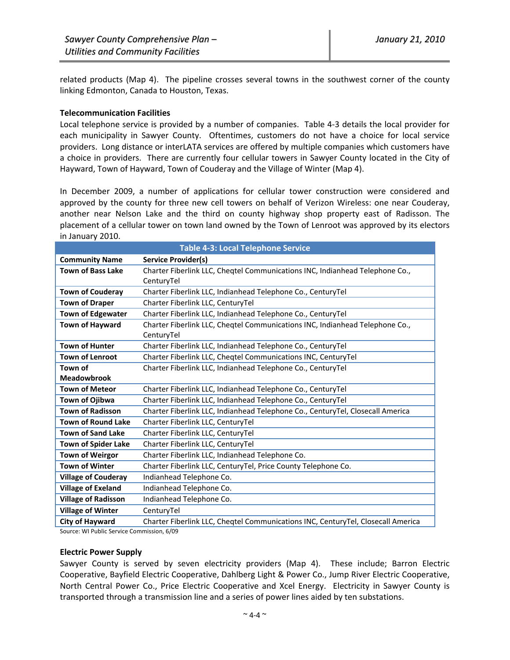related products (Map 4). The pipeline crosses several towns in the southwest corner of the county linking Edmonton, Canada to Houston, Texas.

## **Telecommunication Facilities**

Local telephone service is provided by a number of companies. Table 4‐3 details the local provider for each municipality in Sawyer County. Oftentimes, customers do not have a choice for local service providers. Long distance or interLATA services are offered by multiple companies which customers have a choice in providers. There are currently four cellular towers in Sawyer County located in the City of Hayward, Town of Hayward, Town of Couderay and the Village of Winter (Map 4).

In December 2009, a number of applications for cellular tower construction were considered and approved by the county for three new cell towers on behalf of Verizon Wireless: one near Couderay, another near Nelson Lake and the third on county highway shop property east of Radisson. The placement of a cellular tower on town land owned by the Town of Lenroot was approved by its electors in January 2010.

|                            | <b>Table 4-3: Local Telephone Service</b>                                        |
|----------------------------|----------------------------------------------------------------------------------|
| <b>Community Name</b>      | <b>Service Provider(s)</b>                                                       |
| <b>Town of Bass Lake</b>   | Charter Fiberlink LLC, Cheqtel Communications INC, Indianhead Telephone Co.,     |
|                            | CenturyTel                                                                       |
| <b>Town of Couderay</b>    | Charter Fiberlink LLC, Indianhead Telephone Co., CenturyTel                      |
| <b>Town of Draper</b>      | Charter Fiberlink LLC, CenturyTel                                                |
| <b>Town of Edgewater</b>   | Charter Fiberlink LLC, Indianhead Telephone Co., CenturyTel                      |
| <b>Town of Hayward</b>     | Charter Fiberlink LLC, Cheqtel Communications INC, Indianhead Telephone Co.,     |
|                            | CenturyTel                                                                       |
| <b>Town of Hunter</b>      | Charter Fiberlink LLC, Indianhead Telephone Co., CenturyTel                      |
| <b>Town of Lenroot</b>     | Charter Fiberlink LLC, Cheqtel Communications INC, CenturyTel                    |
| Town of                    | Charter Fiberlink LLC, Indianhead Telephone Co., CenturyTel                      |
| <b>Meadowbrook</b>         |                                                                                  |
| <b>Town of Meteor</b>      | Charter Fiberlink LLC, Indianhead Telephone Co., CenturyTel                      |
| Town of Ojibwa             | Charter Fiberlink LLC, Indianhead Telephone Co., CenturyTel                      |
| <b>Town of Radisson</b>    | Charter Fiberlink LLC, Indianhead Telephone Co., CenturyTel, Closecall America   |
| <b>Town of Round Lake</b>  | Charter Fiberlink LLC, CenturyTel                                                |
| <b>Town of Sand Lake</b>   | Charter Fiberlink LLC, CenturyTel                                                |
| <b>Town of Spider Lake</b> | Charter Fiberlink LLC, CenturyTel                                                |
| <b>Town of Weirgor</b>     | Charter Fiberlink LLC, Indianhead Telephone Co.                                  |
| <b>Town of Winter</b>      | Charter Fiberlink LLC, CenturyTel, Price County Telephone Co.                    |
| <b>Village of Couderay</b> | Indianhead Telephone Co.                                                         |
| <b>Village of Exeland</b>  | Indianhead Telephone Co.                                                         |
| <b>Village of Radisson</b> | Indianhead Telephone Co.                                                         |
| <b>Village of Winter</b>   | CenturyTel                                                                       |
| <b>City of Hayward</b>     | Charter Fiberlink LLC, Cheqtel Communications INC, CenturyTel, Closecall America |
|                            |                                                                                  |

Source: WI Public Service Commission, 6/09

### **Electric Power Supply**

Sawyer County is served by seven electricity providers (Map 4). These include; Barron Electric Cooperative, Bayfield Electric Cooperative, Dahlberg Light & Power Co., Jump River Electric Cooperative, North Central Power Co., Price Electric Cooperative and Xcel Energy. Electricity in Sawyer County is transported through a transmission line and a series of power lines aided by ten substations.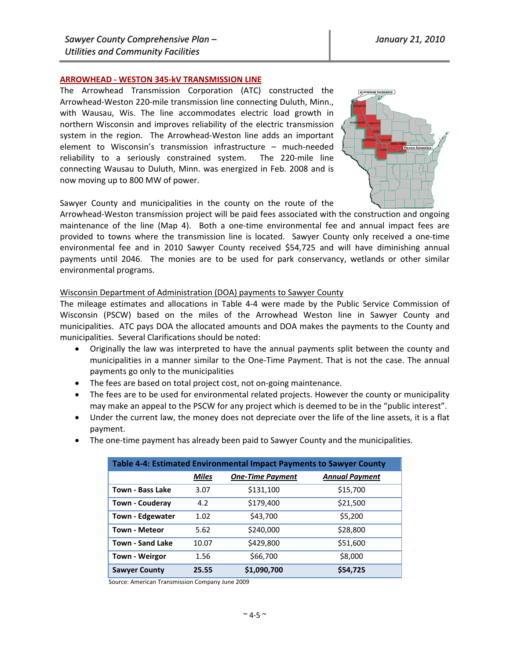## **ARROWHEAD ‐ WESTON 345‐kV TRANSMISSION LINE**

The Arrowhead Transmission Corporation (ATC) constructed the Arrowhead‐Weston 220‐mile transmission line connecting Duluth, Minn., with Wausau, Wis. The line accommodates electric load growth in northern Wisconsin and improves reliability of the electric transmission system in the region. The Arrowhead-Weston line adds an important element to Wisconsin's transmission infrastructure – much‐needed reliability to a seriously constrained system. The 220-mile line connecting Wausau to Duluth, Minn. was energized in Feb. 2008 and is now moving up to 800 MW of power.



Sawyer County and municipalities in the county on the route of the

Arrowhead‐Weston transmission project will be paid fees associated with the construction and ongoing maintenance of the line (Map 4). Both a one-time environmental fee and annual impact fees are provided to towns where the transmission line is located. Sawyer County only received a one‐time environmental fee and in 2010 Sawyer County received \$54,725 and will have diminishing annual payments until 2046. The monies are to be used for park conservancy, wetlands or other similar environmental programs.

### Wisconsin Department of Administration (DOA) payments to Sawyer County

The mileage estimates and allocations in Table 4‐4 were made by the Public Service Commission of Wisconsin (PSCW) based on the miles of the Arrowhead Weston line in Sawyer County and municipalities. ATC pays DOA the allocated amounts and DOA makes the payments to the County and municipalities. Several Clarifications should be noted:

- Originally the law was interpreted to have the annual payments split between the county and municipalities in a manner similar to the One‐Time Payment. That is not the case. The annual payments go only to the municipalities
- The fees are based on total project cost, not on-going maintenance.
- The fees are to be used for environmental related projects. However the county or municipality may make an appeal to the PSCW for any project which is deemed to be in the "public interest".
- Under the current law, the money does not depreciate over the life of the line assets, it is a flat payment.
- The one-time payment has already been paid to Sawyer County and the municipalities.

| Table 4-4: Estimated Environmental Impact Payments to Sawyer County |              |                         |                       |  |  |
|---------------------------------------------------------------------|--------------|-------------------------|-----------------------|--|--|
|                                                                     | <b>Miles</b> | <b>One-Time Payment</b> | <b>Annual Payment</b> |  |  |
| <b>Town - Bass Lake</b>                                             | 3.07         | \$131,100               | \$15,700              |  |  |
| <b>Town - Couderay</b>                                              | 4.2          | \$179,400               | \$21,500              |  |  |
| <b>Town - Edgewater</b>                                             | 1.02         | \$43,700                | \$5,200               |  |  |
| <b>Town - Meteor</b>                                                | 5.62         | \$240,000               | \$28,800              |  |  |
| <b>Town - Sand Lake</b>                                             | 10.07        | \$429,800               | \$51,600              |  |  |
| <b>Town - Weirgor</b>                                               | 1.56         | \$66,700                | \$8,000               |  |  |
| <b>Sawyer County</b>                                                | 25.55        | \$1,090,700             | \$54,725              |  |  |

Source: American Transmission Company June 2009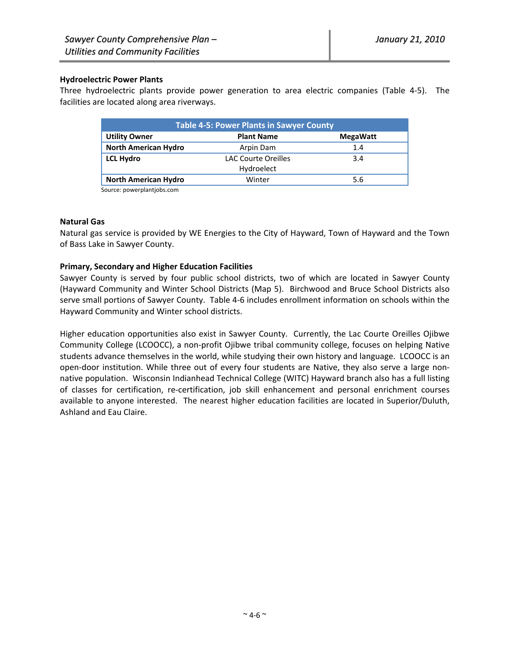## **Hydroelectric Power Plants**

Three hydroelectric plants provide power generation to area electric companies (Table 4‐5). The facilities are located along area riverways.

| <b>Table 4-5: Power Plants in Sawyer County</b> |                            |                 |  |  |  |
|-------------------------------------------------|----------------------------|-----------------|--|--|--|
| <b>Utility Owner</b>                            | <b>Plant Name</b>          | <b>MegaWatt</b> |  |  |  |
| <b>North American Hydro</b>                     | Arpin Dam                  | 1.4             |  |  |  |
| <b>LCL Hydro</b>                                | <b>LAC Courte Oreilles</b> | 3.4             |  |  |  |
|                                                 | Hydroelect                 |                 |  |  |  |
| <b>North American Hydro</b>                     | Winter                     | 5.6             |  |  |  |

Source: powerplantjobs.com

## **Natural Gas**

Natural gas service is provided by WE Energies to the City of Hayward, Town of Hayward and the Town of Bass Lake in Sawyer County.

## **Primary, Secondary and Higher Education Facilities**

Sawyer County is served by four public school districts, two of which are located in Sawyer County (Hayward Community and Winter School Districts (Map 5). Birchwood and Bruce School Districts also serve small portions of Sawyer County. Table 4‐6 includes enrollment information on schools within the Hayward Community and Winter school districts.

Higher education opportunities also exist in Sawyer County. Currently, the Lac Courte Oreilles Ojibwe Community College (LCOOCC), a non‐profit Ojibwe tribal community college, focuses on helping Native students advance themselves in the world, while studying their own history and language. LCOOCC is an open-door institution. While three out of every four students are Native, they also serve a large nonnative population. Wisconsin Indianhead Technical College (WITC) Hayward branch also has a full listing of classes for certification, re‐certification, job skill enhancement and personal enrichment courses available to anyone interested. The nearest higher education facilities are located in Superior/Duluth, Ashland and Eau Claire.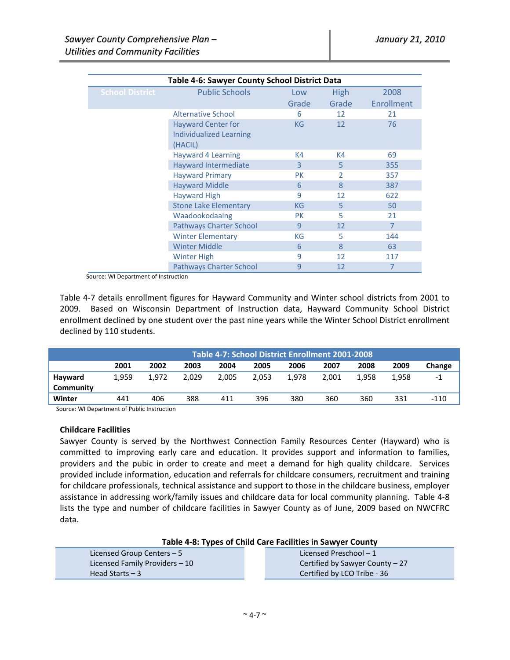| Table 4-6: Sawyer County School District Data |                                                                        |                |                |                |  |  |  |
|-----------------------------------------------|------------------------------------------------------------------------|----------------|----------------|----------------|--|--|--|
| <b>School District</b>                        | <b>Public Schools</b>                                                  | Low            | High           | 2008           |  |  |  |
|                                               |                                                                        | Grade          | Grade          | Enrollment     |  |  |  |
|                                               | Alternative School                                                     | 6              | 12             | 21             |  |  |  |
|                                               | <b>Hayward Center for</b><br><b>Individualized Learning</b><br>(HACIL) | <b>KG</b>      | 12             | 76             |  |  |  |
|                                               | Hayward 4 Learning                                                     | K4             | K4             | 69             |  |  |  |
|                                               | <b>Hayward Intermediate</b>                                            | $\overline{3}$ | 5              | 355            |  |  |  |
|                                               | <b>Hayward Primary</b>                                                 | <b>PK</b>      | $\overline{2}$ | 357            |  |  |  |
|                                               | <b>Hayward Middle</b>                                                  | 6              | $\mathbf{8}$   | 387            |  |  |  |
|                                               | <b>Hayward High</b>                                                    | 9              | 12             | 622            |  |  |  |
|                                               | <b>Stone Lake Elementary</b>                                           | KG             | 5              | 50             |  |  |  |
|                                               | Waadookodaaing                                                         | <b>PK</b>      | 5              | 21             |  |  |  |
|                                               | <b>Pathways Charter School</b>                                         | 9              | 12             | $\overline{7}$ |  |  |  |
|                                               | <b>Winter Elementary</b>                                               | KG             | 5              | 144            |  |  |  |
|                                               | <b>Winter Middle</b>                                                   | 6              | 8              | 63             |  |  |  |
|                                               | <b>Winter High</b>                                                     | 9              | 12             | 117            |  |  |  |
|                                               | <b>Pathways Charter School</b>                                         | 9              | 12             | 7              |  |  |  |

Source: WI Department of Instruction

Table 4‐7 details enrollment figures for Hayward Community and Winter school districts from 2001 to 2009. Based on Wisconsin Department of Instruction data, Hayward Community School District enrollment declined by one student over the past nine years while the Winter School District enrollment declined by 110 students.

|           | Table 4-7: School District Enrollment 2001-2008 |       |       |       |       |       |       |       |       |        |
|-----------|-------------------------------------------------|-------|-------|-------|-------|-------|-------|-------|-------|--------|
|           | 2001                                            | 2002  | 2003  | 2004  | 2005  | 2006  | 2007  | 2008  | 2009  | Change |
| Hayward   | 1.959                                           | 1.972 | 2.029 | 2.005 | 2.053 | 1.978 | 2.001 | 1.958 | 1,958 | -1     |
| Community |                                                 |       |       |       |       |       |       |       |       |        |
| Winter    | 441                                             | 406   | 388   | 411   | 396   | 380   | 360   | 360   | 331   | $-110$ |

Source: WI Department of Public Instruction

### **Childcare Facilities**

Sawyer County is served by the Northwest Connection Family Resources Center (Hayward) who is committed to improving early care and education. It provides support and information to families, providers and the pubic in order to create and meet a demand for high quality childcare. Services provided include information, education and referrals for childcare consumers, recruitment and training for childcare professionals, technical assistance and support to those in the childcare business, employer assistance in addressing work/family issues and childcare data for local community planning. Table 4‐8 lists the type and number of childcare facilities in Sawyer County as of June, 2009 based on NWCFRC data.

| Table 4-8: Types of Child Care Facilities in Sawyer County |  |  |
|------------------------------------------------------------|--|--|
|------------------------------------------------------------|--|--|

| Licensed Group Centers $-5$    | Licensed Preschool – 1           |
|--------------------------------|----------------------------------|
| Licensed Family Providers - 10 | Certified by Sawyer County $-27$ |
| Head Starts $-3$               | Certified by LCO Tribe - 36      |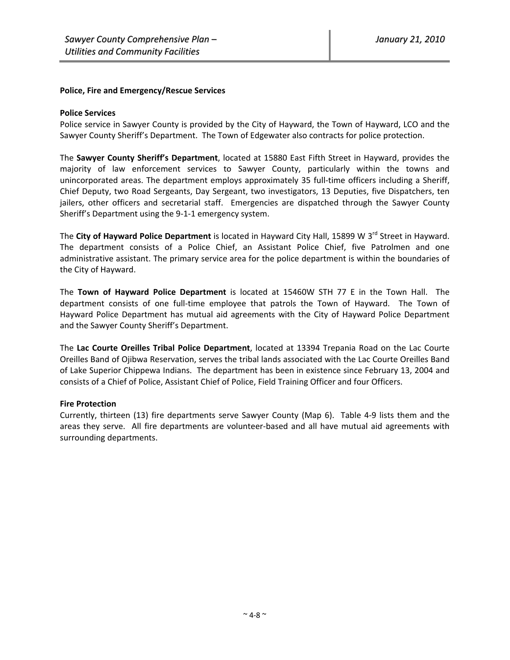## **Police, Fire and Emergency/Rescue Services**

## **Police Services**

Police service in Sawyer County is provided by the City of Hayward, the Town of Hayward, LCO and the Sawyer County Sheriff's Department. The Town of Edgewater also contracts for police protection.

The **Sawyer County Sheriff's Department**, located at 15880 East Fifth Street in Hayward, provides the majority of law enforcement services to Sawyer County, particularly within the towns and unincorporated areas. The department employs approximately 35 full‐time officers including a Sheriff, Chief Deputy, two Road Sergeants, Day Sergeant, two investigators, 13 Deputies, five Dispatchers, ten jailers, other officers and secretarial staff. Emergencies are dispatched through the Sawyer County Sheriff's Department using the 9‐1‐1 emergency system.

The City of Hayward Police Department is located in Hayward City Hall, 15899 W 3<sup>rd</sup> Street in Hayward. The department consists of a Police Chief, an Assistant Police Chief, five Patrolmen and one administrative assistant. The primary service area for the police department is within the boundaries of the City of Hayward.

The **Town of Hayward Police Department** is located at 15460W STH 77 E in the Town Hall. The department consists of one full‐time employee that patrols the Town of Hayward. The Town of Hayward Police Department has mutual aid agreements with the City of Hayward Police Department and the Sawyer County Sheriff's Department.

The **Lac Courte Oreilles Tribal Police Department**, located at 13394 Trepania Road on the Lac Courte Oreilles Band of Ojibwa Reservation, serves the tribal lands associated with the Lac Courte Oreilles Band of Lake Superior Chippewa Indians. The department has been in existence since February 13, 2004 and consists of a Chief of Police, Assistant Chief of Police, Field Training Officer and four Officers.

## **Fire Protection**

Currently, thirteen (13) fire departments serve Sawyer County (Map 6). Table 4‐9 lists them and the areas they serve. All fire departments are volunteer‐based and all have mutual aid agreements with surrounding departments.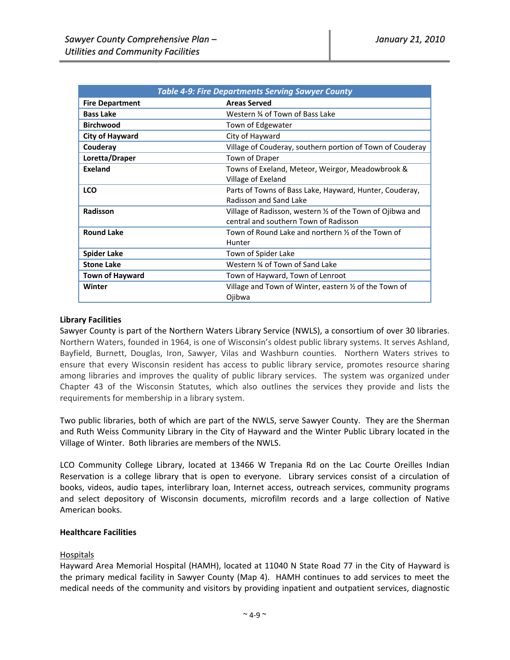|                        | <b>Table 4-9: Fire Departments Serving Sawyer County</b>   |
|------------------------|------------------------------------------------------------|
| <b>Fire Department</b> | <b>Areas Served</b>                                        |
| <b>Bass Lake</b>       | Western % of Town of Bass Lake                             |
| <b>Birchwood</b>       | Town of Edgewater                                          |
| <b>City of Hayward</b> | City of Hayward                                            |
| Couderay               | Village of Couderay, southern portion of Town of Couderay  |
| Loretta/Draper         | Town of Draper                                             |
| Exeland                | Towns of Exeland, Meteor, Weirgor, Meadowbrook &           |
|                        | Village of Exeland                                         |
| <b>LCO</b>             | Parts of Towns of Bass Lake, Hayward, Hunter, Couderay,    |
|                        | Radisson and Sand Lake                                     |
| Radisson               | Village of Radisson, western 1/2 of the Town of Ojibwa and |
|                        | central and southern Town of Radisson                      |
| <b>Round Lake</b>      | Town of Round Lake and northern 1/2 of the Town of         |
|                        | Hunter                                                     |
| <b>Spider Lake</b>     | Town of Spider Lake                                        |
| <b>Stone Lake</b>      | Western 34 of Town of Sand Lake                            |
| <b>Town of Hayward</b> | Town of Hayward, Town of Lenroot                           |
| Winter                 | Village and Town of Winter, eastern 1/2 of the Town of     |
|                        | Ojibwa                                                     |

## **Library Facilities**

Sawyer County is part of the Northern Waters Library Service (NWLS), a consortium of over 30 libraries. Northern Waters, founded in 1964, is one of Wisconsin's oldest public library systems. It serves Ashland, Bayfield, Burnett, Douglas, Iron, Sawyer, Vilas and Washburn counties. Northern Waters strives to ensure that every Wisconsin resident has access to public library service, promotes resource sharing among libraries and improves the quality of public library services. The system was organized under Chapter 43 of the Wisconsin Statutes, which also outlines the services they provide and lists the requirements for membership in a library system.

Two public libraries, both of which are part of the NWLS, serve Sawyer County. They are the Sherman and Ruth Weiss Community Library in the City of Hayward and the Winter Public Library located in the Village of Winter. Both libraries are members of the NWLS.

LCO Community College Library, located at 13466 W Trepania Rd on the Lac Courte Oreilles Indian Reservation is a college library that is open to everyone. Library services consist of a circulation of books, videos, audio tapes, interlibrary loan, Internet access, outreach services, community programs and select depository of Wisconsin documents, microfilm records and a large collection of Native American books.

## **Healthcare Facilities**

## Hospitals

Hayward Area Memorial Hospital (HAMH), located at 11040 N State Road 77 in the City of Hayward is the primary medical facility in Sawyer County (Map 4). HAMH continues to add services to meet the medical needs of the community and visitors by providing inpatient and outpatient services, diagnostic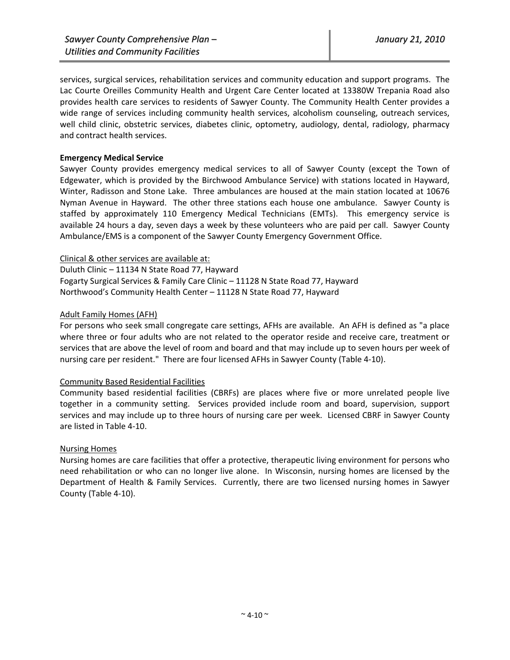services, surgical services, rehabilitation services and community education and support programs. The Lac Courte Oreilles Community Health and Urgent Care Center located at 13380W Trepania Road also provides health care services to residents of Sawyer County. The Community Health Center provides a wide range of services including community health services, alcoholism counseling, outreach services, well child clinic, obstetric services, diabetes clinic, optometry, audiology, dental, radiology, pharmacy and contract health services.

## **Emergency Medical Service**

Sawyer County provides emergency medical services to all of Sawyer County (except the Town of Edgewater, which is provided by the Birchwood Ambulance Service) with stations located in Hayward, Winter, Radisson and Stone Lake. Three ambulances are housed at the main station located at 10676 Nyman Avenue in Hayward. The other three stations each house one ambulance. Sawyer County is staffed by approximately 110 Emergency Medical Technicians (EMTs). This emergency service is available 24 hours a day, seven days a week by these volunteers who are paid per call. Sawyer County Ambulance/EMS is a component of the Sawyer County Emergency Government Office.

## Clinical & other services are available at:

Duluth Clinic – 11134 N State Road 77, Hayward Fogarty Surgical Services & Family Care Clinic – 11128 N State Road 77, Hayward Northwood's Community Health Center – 11128 N State Road 77, Hayward

## Adult Family Homes (AFH)

For persons who seek small congregate care settings, AFHs are available. An AFH is defined as "a place where three or four adults who are not related to the operator reside and receive care, treatment or services that are above the level of room and board and that may include up to seven hours per week of nursing care per resident." There are four licensed AFHs in Sawyer County (Table 4‐10).

### Community Based Residential Facilities

Community based residential facilities (CBRFs) are places where five or more unrelated people live together in a community setting. Services provided include room and board, supervision, support services and may include up to three hours of nursing care per week. Licensed CBRF in Sawyer County are listed in Table 4‐10.

## Nursing Homes

Nursing homes are care facilities that offer a protective, therapeutic living environment for persons who need rehabilitation or who can no longer live alone. In Wisconsin, nursing homes are licensed by the Department of Health & Family Services. Currently, there are two licensed nursing homes in Sawyer County (Table 4‐10).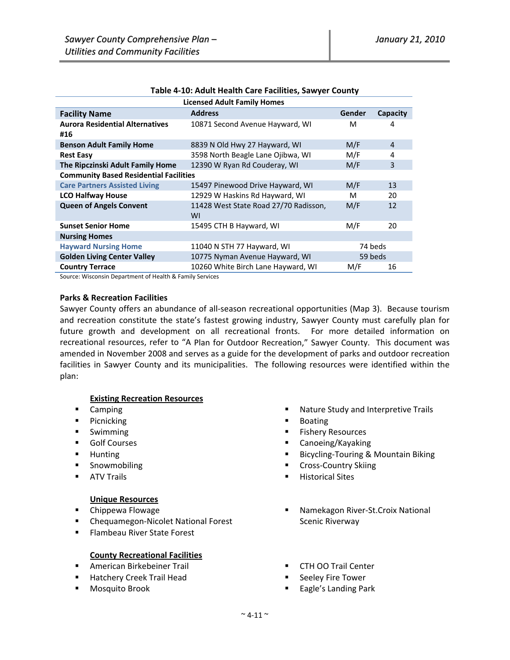| <b>Licensed Adult Family Homes</b>                                              |                                             |        |                |  |  |  |  |
|---------------------------------------------------------------------------------|---------------------------------------------|--------|----------------|--|--|--|--|
| <b>Facility Name</b>                                                            | <b>Address</b>                              | Gender | Capacity       |  |  |  |  |
| <b>Aurora Residential Alternatives</b><br>#16                                   | 10871 Second Avenue Hayward, WI             | м      | 4              |  |  |  |  |
| <b>Benson Adult Family Home</b>                                                 | 8839 N Old Hwy 27 Hayward, WI               | M/F    | $\overline{4}$ |  |  |  |  |
| <b>Rest Easy</b>                                                                | 3598 North Beagle Lane Ojibwa, WI           | M/F    | 4              |  |  |  |  |
| The Ripczinski Adult Family Home                                                | 12390 W Ryan Rd Couderay, WI                | M/F    | 3              |  |  |  |  |
| <b>Community Based Residential Facilities</b>                                   |                                             |        |                |  |  |  |  |
| <b>Care Partners Assisted Living</b>                                            | 15497 Pinewood Drive Hayward, WI            | M/F    | 13             |  |  |  |  |
| <b>LCO Halfway House</b>                                                        | 12929 W Haskins Rd Hayward, WI              | м      | 20             |  |  |  |  |
| <b>Queen of Angels Convent</b>                                                  | 11428 West State Road 27/70 Radisson,<br>WI | M/F    | 12             |  |  |  |  |
| <b>Sunset Senior Home</b>                                                       | 15495 CTH B Hayward, WI                     | M/F    | 20             |  |  |  |  |
| <b>Nursing Homes</b>                                                            |                                             |        |                |  |  |  |  |
| <b>Hayward Nursing Home</b>                                                     | 74 beds<br>11040 N STH 77 Hayward, WI       |        |                |  |  |  |  |
| <b>Golden Living Center Valley</b><br>10775 Nyman Avenue Hayward, WI<br>59 beds |                                             |        |                |  |  |  |  |
| <b>Country Terrace</b>                                                          | 10260 White Birch Lane Hayward, WI          | M/F    | 16             |  |  |  |  |

#### **Table 4‐10: Adult Health Care Facilities, Sawyer County**

Source: Wisconsin Department of Health & Family Services

### **Parks & Recreation Facilities**

Sawyer County offers an abundance of all‐season recreational opportunities (Map 3). Because tourism and recreation constitute the state's fastest growing industry, Sawyer County must carefully plan for future growth and development on all recreational fronts. For more detailed information on recreational resources, refer to "A Plan for Outdoor Recreation," Sawyer County. This document was amended in November 2008 and serves as a guide for the development of parks and outdoor recreation facilities in Sawyer County and its municipalities. The following resources were identified within the plan:

### **Existing Recreation Resources**

- **Camping**
- **Picnicking**
- **Swimming**
- **Golf Courses**
- **-** Hunting
- **Snowmobiling**
- **ATV Trails**

### **Unique Resources**

- **E** Chippewa Flowage
- Chequamegon-Nicolet National Forest
- **Flambeau River State Forest**

### **County Recreational Facilities**

- **American Birkebeiner Trail**
- **Hatchery Creek Trail Head**
- **Mosquito Brook**
- Nature Study and Interpretive Trails
- **Boating**
- **Fishery Resources**
- Canoeing/Kayaking
- Bicycling-Touring & Mountain Biking
- Cross-Country Skiing
- Historical Sites
- Namekagon River‐St.Croix National Scenic Riverway
- **CTH OO Trail Center**
- **Seeley Fire Tower**
- Eagle's Landing Park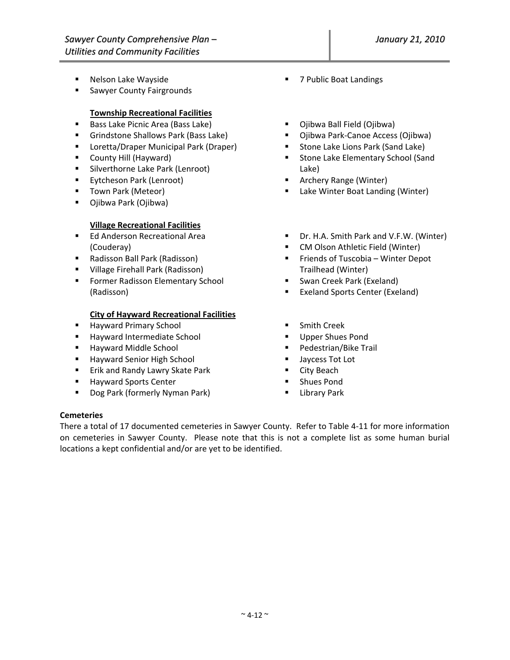- Nelson Lake Wayside
- **Sawyer County Fairgrounds**

## **Township Recreational Facilities**

- **Bass Lake Picnic Area (Bass Lake)**
- **Grindstone Shallows Park (Bass Lake)**
- **E** Loretta/Draper Municipal Park (Draper)
- **County Hill (Hayward)**
- **Silverthorne Lake Park (Lenroot)**
- **Eytcheson Park (Lenroot)**
- **Town Park (Meteor)**
- Ojibwa Park (Ojibwa)

## **Village Recreational Facilities**

- **Ed Anderson Recreational Area** (Couderay)
- Radisson Ball Park (Radisson)
- **UILAGE Firehall Park (Radisson)**
- **Former Radisson Elementary School** (Radisson)

## **City of Hayward Recreational Facilities**

- **Hayward Primary School**
- **Hayward Intermediate School**
- Hayward Middle School
- **Hayward Senior High School**
- **Erik and Randy Lawry Skate Park**
- **Hayward Sports Center**
- **Dog Park (formerly Nyman Park)**
- 7 Public Boat Landings
- Ojibwa Ball Field (Ojibwa)
- Ojibwa Park-Canoe Access (Ojibwa)
- **Stone Lake Lions Park (Sand Lake)**
- **EXEC** Stone Lake Elementary School (Sand Lake)
- Archery Range (Winter)
- Lake Winter Boat Landing (Winter)
- Dr. H.A. Smith Park and V.F.W. (Winter)
- **E** CM Olson Athletic Field (Winter)
- **Fiends of Tuscobia Winter Depot** Trailhead (Winter)
- Swan Creek Park (Exeland)
- **Exeland Sports Center (Exeland)**
- **Smith Creek**
- Upper Shues Pond
- Pedestrian/Bike Trail
- **Jaycess Tot Lot**
- City Beach
- Shues Pond
- **Library Park**

## **Cemeteries**

There a total of 17 documented cemeteries in Sawyer County. Refer to Table 4‐11 for more information on cemeteries in Sawyer County. Please note that this is not a complete list as some human burial locations a kept confidential and/or are yet to be identified.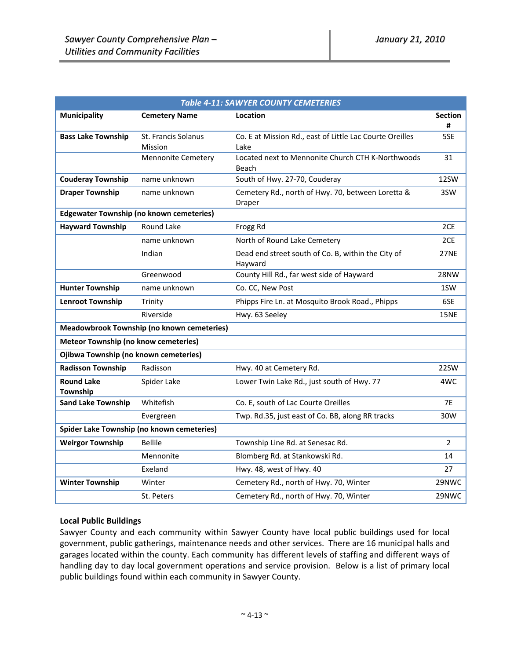| Table 4-11: SAWYER COUNTY CEMETERIES        |                                                 |                                                                  |                     |  |  |
|---------------------------------------------|-------------------------------------------------|------------------------------------------------------------------|---------------------|--|--|
| <b>Municipality</b>                         | <b>Cemetery Name</b>                            | Location                                                         | <b>Section</b><br># |  |  |
| <b>Bass Lake Township</b>                   | St. Francis Solanus<br>Mission                  | Co. E at Mission Rd., east of Little Lac Courte Oreilles<br>Lake | 5SE                 |  |  |
|                                             | <b>Mennonite Cemetery</b>                       | Located next to Mennonite Church CTH K-Northwoods<br>Beach       | 31                  |  |  |
| <b>Couderay Township</b>                    | name unknown                                    | South of Hwy. 27-70, Couderay                                    | 12SW                |  |  |
| <b>Draper Township</b>                      | name unknown                                    | Cemetery Rd., north of Hwy. 70, between Loretta &<br>Draper      | 3SW                 |  |  |
|                                             | <b>Edgewater Township (no known cemeteries)</b> |                                                                  |                     |  |  |
| <b>Hayward Township</b>                     | Round Lake                                      | Frogg Rd                                                         | 2CE                 |  |  |
|                                             | name unknown                                    | North of Round Lake Cemetery                                     | 2CE                 |  |  |
|                                             | Indian                                          | Dead end street south of Co. B, within the City of<br>Hayward    | <b>27NE</b>         |  |  |
|                                             | Greenwood                                       | County Hill Rd., far west side of Hayward                        | 28NW                |  |  |
| <b>Hunter Township</b>                      | name unknown                                    | Co. CC, New Post                                                 | 1SW                 |  |  |
| <b>Lenroot Township</b>                     | Trinity                                         | Phipps Fire Ln. at Mosquito Brook Road., Phipps                  | 6SE                 |  |  |
|                                             | Riverside                                       | Hwy. 63 Seeley                                                   | <b>15NE</b>         |  |  |
|                                             | Meadowbrook Township (no known cemeteries)      |                                                                  |                     |  |  |
| <b>Meteor Township (no know cemeteries)</b> |                                                 |                                                                  |                     |  |  |
| Ojibwa Township (no known cemeteries)       |                                                 |                                                                  |                     |  |  |
| <b>Radisson Township</b>                    | Radisson                                        | Hwy. 40 at Cemetery Rd.                                          | 22SW                |  |  |
| <b>Round Lake</b><br>Township               | Spider Lake                                     | Lower Twin Lake Rd., just south of Hwy. 77                       | 4WC                 |  |  |
| <b>Sand Lake Township</b>                   | Whitefish                                       | Co. E, south of Lac Courte Oreilles                              | <b>7E</b>           |  |  |
|                                             | Evergreen                                       | Twp. Rd.35, just east of Co. BB, along RR tracks                 | 30W                 |  |  |
|                                             | Spider Lake Township (no known cemeteries)      |                                                                  |                     |  |  |
| <b>Weirgor Township</b>                     | <b>Bellile</b>                                  | Township Line Rd. at Senesac Rd.                                 | $\overline{2}$      |  |  |
|                                             | Mennonite                                       | Blomberg Rd. at Stankowski Rd.                                   | 14                  |  |  |
|                                             | Exeland                                         | Hwy. 48, west of Hwy. 40                                         | 27                  |  |  |
| <b>Winter Township</b>                      | Winter                                          | Cemetery Rd., north of Hwy. 70, Winter                           | 29NWC               |  |  |
|                                             | St. Peters                                      | Cemetery Rd., north of Hwy. 70, Winter                           | 29NWC               |  |  |

## **Local Public Buildings**

Sawyer County and each community within Sawyer County have local public buildings used for local government, public gatherings, maintenance needs and other services. There are 16 municipal halls and garages located within the county. Each community has different levels of staffing and different ways of handling day to day local government operations and service provision. Below is a list of primary local public buildings found within each community in Sawyer County.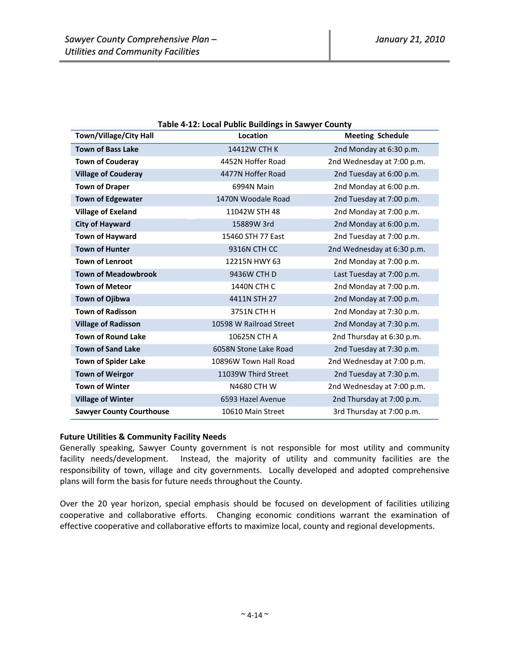| Town/Village/City Hall          | rabic 4-12. Local Fublic Dununigs in Jawyer County<br>Location | <b>Meeting Schedule</b>    |  |  |  |
|---------------------------------|----------------------------------------------------------------|----------------------------|--|--|--|
| <b>Town of Bass Lake</b>        | 14412W CTH K                                                   | 2nd Monday at 6:30 p.m.    |  |  |  |
| <b>Town of Couderay</b>         | 4452N Hoffer Road                                              | 2nd Wednesday at 7:00 p.m. |  |  |  |
| <b>Village of Couderay</b>      | 4477N Hoffer Road                                              | 2nd Tuesday at 6:00 p.m.   |  |  |  |
| <b>Town of Draper</b>           | 6994N Main                                                     | 2nd Monday at 6:00 p.m.    |  |  |  |
| <b>Town of Edgewater</b>        | 1470N Woodale Road                                             | 2nd Tuesday at 7:00 p.m.   |  |  |  |
| <b>Village of Exeland</b>       | 11042W STH 48                                                  | 2nd Monday at 7:00 p.m.    |  |  |  |
| <b>City of Hayward</b>          | 15889W 3rd                                                     | 2nd Monday at 6:00 p.m.    |  |  |  |
| <b>Town of Hayward</b>          | 15460 STH 77 East                                              | 2nd Tuesday at 7:00 p.m.   |  |  |  |
| <b>Town of Hunter</b>           | 9316N CTH CC                                                   | 2nd Wednesday at 6:30 p.m. |  |  |  |
| <b>Town of Lenroot</b>          | 12215N HWY 63                                                  | 2nd Monday at 7:00 p.m.    |  |  |  |
| <b>Town of Meadowbrook</b>      | 9436W CTH D                                                    | Last Tuesday at 7:00 p.m.  |  |  |  |
| <b>Town of Meteor</b>           | 1440N CTH C                                                    | 2nd Monday at 7:00 p.m.    |  |  |  |
| Town of Ojibwa                  | 4411N STH 27                                                   | 2nd Monday at 7:00 p.m.    |  |  |  |
| <b>Town of Radisson</b>         | 3751N CTH H                                                    | 2nd Monday at 7:30 p.m.    |  |  |  |
| <b>Village of Radisson</b>      | 10598 W Railroad Street                                        | 2nd Monday at 7:30 p.m.    |  |  |  |
| <b>Town of Round Lake</b>       | 10625N CTH A                                                   | 2nd Thursday at 6:30 p.m.  |  |  |  |
| <b>Town of Sand Lake</b>        | 6058N Stone Lake Road                                          | 2nd Tuesday at 7:30 p.m.   |  |  |  |
| <b>Town of Spider Lake</b>      | 10896W Town Hall Road                                          | 2nd Wednesday at 7:00 p.m. |  |  |  |
| <b>Town of Weirgor</b>          | 11039W Third Street                                            | 2nd Tuesday at 7:30 p.m.   |  |  |  |
| <b>Town of Winter</b>           | N4680 CTH W                                                    | 2nd Wednesday at 7:00 p.m. |  |  |  |
| <b>Village of Winter</b>        | 6593 Hazel Avenue                                              | 2nd Thursday at 7:00 p.m.  |  |  |  |
| <b>Sawyer County Courthouse</b> | 10610 Main Street                                              | 3rd Thursday at 7:00 p.m.  |  |  |  |

## **Table 4‐12: Local Public Buildings in Sawyer County**

## **Future Utilities & Community Facility Needs**

Generally speaking, Sawyer County government is not responsible for most utility and community facility needs/development. Instead, the majority of utility and community facilities are the responsibility of town, village and city governments. Locally developed and adopted comprehensive plans will form the basis for future needs throughout the County.

Over the 20 year horizon, special emphasis should be focused on development of facilities utilizing cooperative and collaborative efforts. Changing economic conditions warrant the examination of effective cooperative and collaborative efforts to maximize local, county and regional developments.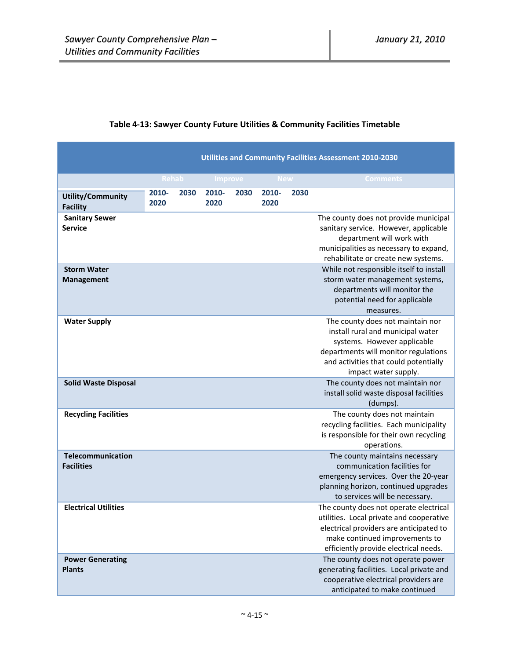# **Table 4‐13: Sawyer County Future Utilities & Community Facilities Timetable**

|                                             | <b>Utilities and Community Facilities Assessment 2010-2030</b> |      |               |      |               |      |                                                                                                                                                                                                               |  |
|---------------------------------------------|----------------------------------------------------------------|------|---------------|------|---------------|------|---------------------------------------------------------------------------------------------------------------------------------------------------------------------------------------------------------------|--|
|                                             | <b>Rehab</b>                                                   |      | Improve       |      | <b>New</b>    |      | <b>Comments</b>                                                                                                                                                                                               |  |
| <b>Utility/Community</b><br><b>Facility</b> | 2010-<br>2020                                                  | 2030 | 2010-<br>2020 | 2030 | 2010-<br>2020 | 2030 |                                                                                                                                                                                                               |  |
| <b>Sanitary Sewer</b><br><b>Service</b>     |                                                                |      |               |      |               |      | The county does not provide municipal<br>sanitary service. However, applicable<br>department will work with<br>municipalities as necessary to expand,<br>rehabilitate or create new systems.                  |  |
| <b>Storm Water</b><br><b>Management</b>     |                                                                |      |               |      |               |      | While not responsible itself to install<br>storm water management systems,<br>departments will monitor the<br>potential need for applicable<br>measures.                                                      |  |
| <b>Water Supply</b>                         |                                                                |      |               |      |               |      | The county does not maintain nor<br>install rural and municipal water<br>systems. However applicable<br>departments will monitor regulations<br>and activities that could potentially<br>impact water supply. |  |
| <b>Solid Waste Disposal</b>                 |                                                                |      |               |      |               |      | The county does not maintain nor<br>install solid waste disposal facilities<br>(dumps).                                                                                                                       |  |
| <b>Recycling Facilities</b>                 |                                                                |      |               |      |               |      | The county does not maintain<br>recycling facilities. Each municipality<br>is responsible for their own recycling<br>operations.                                                                              |  |
| Telecommunication<br><b>Facilities</b>      |                                                                |      |               |      |               |      | The county maintains necessary<br>communication facilities for<br>emergency services. Over the 20-year<br>planning horizon, continued upgrades<br>to services will be necessary.                              |  |
| <b>Electrical Utilities</b>                 |                                                                |      |               |      |               |      | The county does not operate electrical<br>utilities. Local private and cooperative<br>electrical providers are anticipated to<br>make continued improvements to<br>efficiently provide electrical needs.      |  |
| <b>Power Generating</b><br><b>Plants</b>    |                                                                |      |               |      |               |      | The county does not operate power<br>generating facilities. Local private and<br>cooperative electrical providers are<br>anticipated to make continued                                                        |  |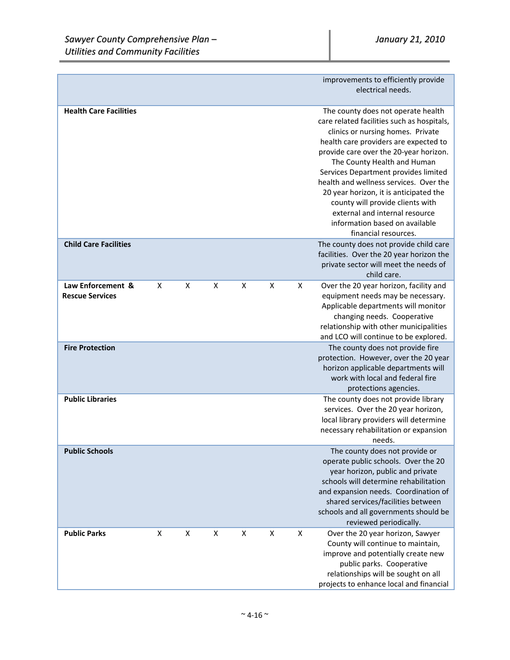|                               |   |   |   |   |   |   | improvements to efficiently provide                                          |
|-------------------------------|---|---|---|---|---|---|------------------------------------------------------------------------------|
|                               |   |   |   |   |   |   | electrical needs.                                                            |
|                               |   |   |   |   |   |   |                                                                              |
| <b>Health Care Facilities</b> |   |   |   |   |   |   | The county does not operate health                                           |
|                               |   |   |   |   |   |   | care related facilities such as hospitals,                                   |
|                               |   |   |   |   |   |   | clinics or nursing homes. Private                                            |
|                               |   |   |   |   |   |   | health care providers are expected to                                        |
|                               |   |   |   |   |   |   | provide care over the 20-year horizon.                                       |
|                               |   |   |   |   |   |   | The County Health and Human                                                  |
|                               |   |   |   |   |   |   | Services Department provides limited                                         |
|                               |   |   |   |   |   |   | health and wellness services. Over the                                       |
|                               |   |   |   |   |   |   | 20 year horizon, it is anticipated the                                       |
|                               |   |   |   |   |   |   | county will provide clients with                                             |
|                               |   |   |   |   |   |   | external and internal resource                                               |
|                               |   |   |   |   |   |   | information based on available                                               |
|                               |   |   |   |   |   |   | financial resources.                                                         |
| <b>Child Care Facilities</b>  |   |   |   |   |   |   | The county does not provide child care                                       |
|                               |   |   |   |   |   |   | facilities. Over the 20 year horizon the                                     |
|                               |   |   |   |   |   |   | private sector will meet the needs of                                        |
|                               |   |   |   |   |   |   | child care.                                                                  |
| Law Enforcement &             | X | x | X | X | X | x | Over the 20 year horizon, facility and                                       |
| <b>Rescue Services</b>        |   |   |   |   |   |   | equipment needs may be necessary.                                            |
|                               |   |   |   |   |   |   | Applicable departments will monitor                                          |
|                               |   |   |   |   |   |   | changing needs. Cooperative                                                  |
|                               |   |   |   |   |   |   | relationship with other municipalities                                       |
|                               |   |   |   |   |   |   | and LCO will continue to be explored.                                        |
| <b>Fire Protection</b>        |   |   |   |   |   |   | The county does not provide fire                                             |
|                               |   |   |   |   |   |   | protection. However, over the 20 year<br>horizon applicable departments will |
|                               |   |   |   |   |   |   | work with local and federal fire                                             |
|                               |   |   |   |   |   |   | protections agencies.                                                        |
| <b>Public Libraries</b>       |   |   |   |   |   |   | The county does not provide library                                          |
|                               |   |   |   |   |   |   | services. Over the 20 year horizon,                                          |
|                               |   |   |   |   |   |   | local library providers will determine                                       |
|                               |   |   |   |   |   |   | necessary rehabilitation or expansion                                        |
|                               |   |   |   |   |   |   | needs.                                                                       |
| <b>Public Schools</b>         |   |   |   |   |   |   | The county does not provide or                                               |
|                               |   |   |   |   |   |   | operate public schools. Over the 20                                          |
|                               |   |   |   |   |   |   | year horizon, public and private                                             |
|                               |   |   |   |   |   |   | schools will determine rehabilitation                                        |
|                               |   |   |   |   |   |   | and expansion needs. Coordination of                                         |
|                               |   |   |   |   |   |   | shared services/facilities between                                           |
|                               |   |   |   |   |   |   | schools and all governments should be                                        |
|                               |   |   |   |   |   |   | reviewed periodically.                                                       |
| <b>Public Parks</b>           | X | X | X | X | X | X | Over the 20 year horizon, Sawyer                                             |
|                               |   |   |   |   |   |   | County will continue to maintain,                                            |
|                               |   |   |   |   |   |   | improve and potentially create new                                           |
|                               |   |   |   |   |   |   | public parks. Cooperative                                                    |
|                               |   |   |   |   |   |   | relationships will be sought on all                                          |
|                               |   |   |   |   |   |   | projects to enhance local and financial                                      |